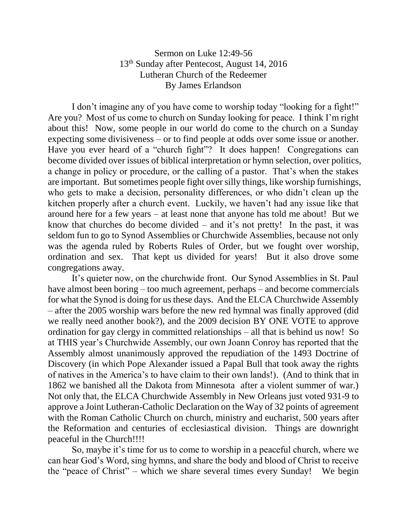## Sermon on Luke 12:49-56 13th Sunday after Pentecost, August 14, 2016 Lutheran Church of the Redeemer By James Erlandson

I don't imagine any of you have come to worship today "looking for a fight!" Are you? Most of us come to church on Sunday looking for peace. I think I'm right about this! Now, some people in our world do come to the church on a Sunday expecting some divisiveness – or to find people at odds over some issue or another. Have you ever heard of a "church fight"? It does happen! Congregations can become divided over issues of biblical interpretation or hymn selection, over politics, a change in policy or procedure, or the calling of a pastor. That's when the stakes are important. But sometimes people fight over silly things, like worship furnishings, who gets to make a decision, personality differences, or who didn't clean up the kitchen properly after a church event. Luckily, we haven't had any issue like that around here for a few years – at least none that anyone has told me about! But we know that churches do become divided – and it's not pretty! In the past, it was seldom fun to go to Synod Assemblies or Churchwide Assemblies, because not only was the agenda ruled by Roberts Rules of Order, but we fought over worship, ordination and sex. That kept us divided for years! But it also drove some congregations away.

It's quieter now, on the churchwide front. Our Synod Assemblies in St. Paul have almost been boring – too much agreement, perhaps – and become commercials for what the Synod is doing for us these days. And the ELCA Churchwide Assembly – after the 2005 worship wars before the new red hymnal was finally approved (did we really need another book?), and the 2009 decision BY ONE VOTE to approve ordination for gay clergy in committed relationships – all that is behind us now! So at THIS year's Churchwide Assembly, our own Joann Conroy has reported that the Assembly almost unanimously approved the repudiation of the 1493 Doctrine of Discovery (in which Pope Alexander issued a Papal Bull that took away the rights of natives in the America's to have claim to their own lands!). (And to think that in 1862 we banished all the Dakota from Minnesota after a violent summer of war.) Not only that, the ELCA Churchwide Assembly in New Orleans just voted 931-9 to approve a Joint Lutheran-Catholic Declaration on the Way of 32 points of agreement with the Roman Catholic Church on church, ministry and eucharist, 500 years after the Reformation and centuries of ecclesiastical division. Things are downright peaceful in the Church!!!!

So, maybe it's time for us to come to worship in a peaceful church, where we can hear God's Word, sing hymns, and share the body and blood of Christ to receive the "peace of Christ" – which we share several times every Sunday! We begin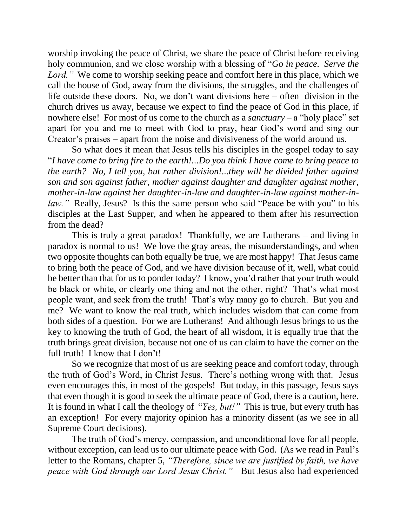worship invoking the peace of Christ, we share the peace of Christ before receiving holy communion, and we close worship with a blessing of "*Go in peace. Serve the Lord.*" We come to worship seeking peace and comfort here in this place, which we call the house of God, away from the divisions, the struggles, and the challenges of life outside these doors. No, we don't want divisions here – often division in the church drives us away, because we expect to find the peace of God in this place, if nowhere else! For most of us come to the church as a *sanctuary* – a "holy place" set apart for you and me to meet with God to pray, hear God's word and sing our Creator's praises – apart from the noise and divisiveness of the world around us.

So what does it mean that Jesus tells his disciples in the gospel today to say "*I have come to bring fire to the earth!...Do you think I have come to bring peace to the earth? No, I tell you, but rather division!...they will be divided father against son and son against father, mother against daughter and daughter against mother, mother-in-law against her daughter-in-law and daughter-in-law against mother-inlaw.*" Really, Jesus? Is this the same person who said "Peace be with you" to his disciples at the Last Supper, and when he appeared to them after his resurrection from the dead?

This is truly a great paradox! Thankfully, we are Lutherans – and living in paradox is normal to us! We love the gray areas, the misunderstandings, and when two opposite thoughts can both equally be true, we are most happy! That Jesus came to bring both the peace of God, and we have division because of it, well, what could be better than that for us to ponder today? I know, you'd rather that your truth would be black or white, or clearly one thing and not the other, right? That's what most people want, and seek from the truth! That's why many go to church. But you and me? We want to know the real truth, which includes wisdom that can come from both sides of a question. For we are Lutherans! And although Jesus brings to us the key to knowing the truth of God, the heart of all wisdom, it is equally true that the truth brings great division, because not one of us can claim to have the corner on the full truth! I know that I don't!

So we recognize that most of us are seeking peace and comfort today, through the truth of God's Word, in Christ Jesus. There's nothing wrong with that. Jesus even encourages this, in most of the gospels! But today, in this passage, Jesus says that even though it is good to seek the ultimate peace of God, there is a caution, here. It is found in what I call the theology of "*Yes, but!"* This is true, but every truth has an exception! For every majority opinion has a minority dissent (as we see in all Supreme Court decisions).

The truth of God's mercy, compassion, and unconditional love for all people, without exception, can lead us to our ultimate peace with God. (As we read in Paul's letter to the Romans, chapter 5, *"Therefore, since we are justified by faith, we have peace with God through our Lord Jesus Christ."* But Jesus also had experienced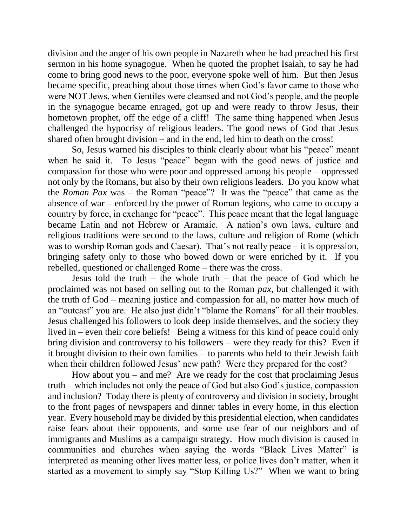division and the anger of his own people in Nazareth when he had preached his first sermon in his home synagogue. When he quoted the prophet Isaiah, to say he had come to bring good news to the poor, everyone spoke well of him. But then Jesus became specific, preaching about those times when God's favor came to those who were NOT Jews, when Gentiles were cleansed and not God's people, and the people in the synagogue became enraged, got up and were ready to throw Jesus, their hometown prophet, off the edge of a cliff! The same thing happened when Jesus challenged the hypocrisy of religious leaders. The good news of God that Jesus shared often brought division – and in the end, led him to death on the cross!

So, Jesus warned his disciples to think clearly about what his "peace" meant when he said it. To Jesus "peace" began with the good news of justice and compassion for those who were poor and oppressed among his people – oppressed not only by the Romans, but also by their own religions leaders. Do you know what the *Roman Pax* was – the Roman "peace"? It was the "peace" that came as the absence of war – enforced by the power of Roman legions, who came to occupy a country by force, in exchange for "peace". This peace meant that the legal language became Latin and not Hebrew or Aramaic. A nation's own laws, culture and religious traditions were second to the laws, culture and religion of Rome (which was to worship Roman gods and Caesar). That's not really peace – it is oppression, bringing safety only to those who bowed down or were enriched by it. If you rebelled, questioned or challenged Rome – there was the cross.

Jesus told the truth – the whole truth – that the peace of God which he proclaimed was not based on selling out to the Roman *pax*, but challenged it with the truth of God – meaning justice and compassion for all, no matter how much of an "outcast" you are. He also just didn't "blame the Romans" for all their troubles. Jesus challenged his followers to look deep inside themselves, and the society they lived in – even their core beliefs! Being a witness for this kind of peace could only bring division and controversy to his followers – were they ready for this? Even if it brought division to their own families – to parents who held to their Jewish faith when their children followed Jesus' new path? Were they prepared for the cost?

How about you – and me? Are we ready for the cost that proclaiming Jesus truth – which includes not only the peace of God but also God's justice, compassion and inclusion? Today there is plenty of controversy and division in society, brought to the front pages of newspapers and dinner tables in every home, in this election year. Every household may be divided by this presidential election, when candidates raise fears about their opponents, and some use fear of our neighbors and of immigrants and Muslims as a campaign strategy. How much division is caused in communities and churches when saying the words "Black Lives Matter" is interpreted as meaning other lives matter less, or police lives don't matter, when it started as a movement to simply say "Stop Killing Us?" When we want to bring